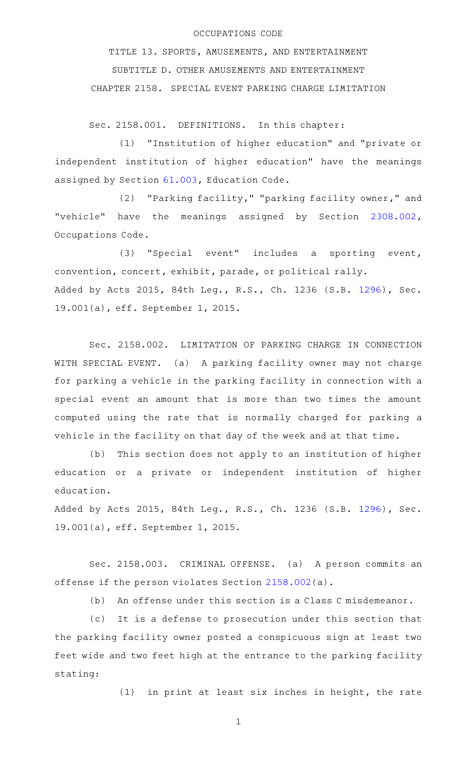## OCCUPATIONS CODE

TITLE 13. SPORTS, AMUSEMENTS, AND ENTERTAINMENT SUBTITLE D. OTHER AMUSEMENTS AND ENTERTAINMENT CHAPTER 2158. SPECIAL EVENT PARKING CHARGE LIMITATION

Sec. 2158.001. DEFINITIONS. In this chapter:

(1) "Institution of higher education" and "private or independent institution of higher education" have the meanings assigned by Section [61.003,](http://www.statutes.legis.state.tx.us/GetStatute.aspx?Code=ED&Value=61.003) Education Code.

(2) "Parking facility," "parking facility owner," and "vehicle" have the meanings assigned by Section [2308.002](http://www.statutes.legis.state.tx.us/GetStatute.aspx?Code=OC&Value=2308.002), Occupations Code.

(3) "Special event" includes a sporting event, convention, concert, exhibit, parade, or political rally. Added by Acts 2015, 84th Leg., R.S., Ch. 1236 (S.B. [1296](http://www.legis.state.tx.us/tlodocs/84R/billtext/html/SB01296F.HTM)), Sec. 19.001(a), eff. September 1, 2015.

Sec. 2158.002. LIMITATION OF PARKING CHARGE IN CONNECTION WITH SPECIAL EVENT. (a) A parking facility owner may not charge for parking a vehicle in the parking facility in connection with a special event an amount that is more than two times the amount computed using the rate that is normally charged for parking a vehicle in the facility on that day of the week and at that time.

(b) This section does not apply to an institution of higher education or a private or independent institution of higher education.

Added by Acts 2015, 84th Leg., R.S., Ch. 1236 (S.B. [1296](http://www.legis.state.tx.us/tlodocs/84R/billtext/html/SB01296F.HTM)), Sec. 19.001(a), eff. September 1, 2015.

Sec. 2158.003. CRIMINAL OFFENSE. (a) A person commits an offense if the person violates Section [2158.002\(](http://www.statutes.legis.state.tx.us/GetStatute.aspx?Code=OC&Value=2158.002)a).

(b) An offense under this section is a Class C misdemeanor.

(c) It is a defense to prosecution under this section that the parking facility owner posted a conspicuous sign at least two feet wide and two feet high at the entrance to the parking facility stating:

 $(1)$  in print at least six inches in height, the rate

1